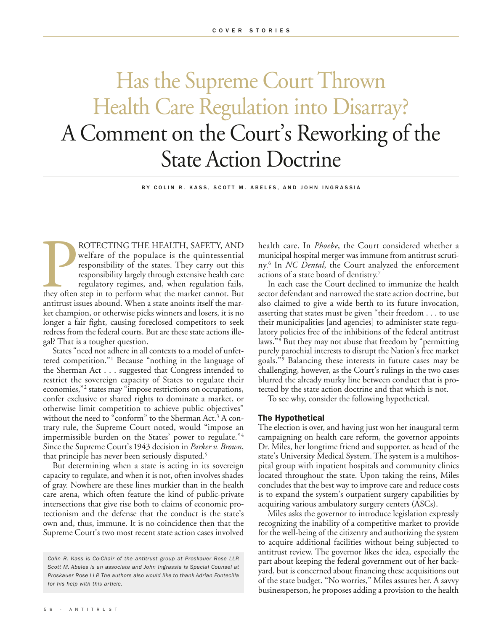## Has the Supreme Court Thrown Health Care Regulation into Disarray? A Comment on the Court's Reworking of the State Action Doctrine

BY COLIN R. KASS, SCOTT M. ABELES, AND JOHN INGRASSIA

ROTECTING THE HEALTH, SAFETY, AND<br>welfare of the populace is the quintessential<br>responsibility of the states. They carry out this<br>responsibility largely through extensive health care<br>regulatory regimes, and, when regulatio ROTECTING THE HEALTH, SAFETY, AND welfare of the populace is the quintessential responsibility of the states. They carry out this responsibility largely through extensive health care regulatory regimes, and, when regulation fails, antitrust issues abound. When a state anoints itself the market champion, or otherwise picks winners and losers, it is no longer a fair fight, causing foreclosed competitors to seek redress from the federal courts. But are these state actions illegal? That is a tougher question.

States "need not adhere in all contexts to a model of unfettered competition."1 Because "nothing in the language of the Sherman Act . . . suggested that Congress intended to restrict the sovereign capacity of States to regulate their economies,"2 states may "impose restrictions on occupations, confer exclusive or shared rights to dominate a market, or otherwise limit competition to achieve public objectives" without the need to "conform" to the Sherman Act.<sup>3</sup> A contrary rule, the Supreme Court noted, would "impose an impermissible burden on the States' power to regulate."4 Since the Supreme Court's 1943 decision in *Parker v. Brown*, that principle has never been seriously disputed.5

But determining when a state is acting in its sovereign capacity to regulate, and when it is not, often involves shades of gray. Nowhere are these lines murkier than in the health care arena, which often feature the kind of public-private intersections that give rise both to claims of economic protectionism and the defense that the conduct is the state's own and, thus, immune. It is no coincidence then that the Supreme Court's two most recent state action cases involved

health care. In *Phoebe*, the Court considered whether a municipal hospital merger was immune from antitrust scrutiny.6 In *NC Dental*, the Court analyzed the enforcement actions of a state board of dentistry.7

In each case the Court declined to immunize the health sector defendant and narrowed the state action doctrine, but also claimed to give a wide berth to its future invocation, asserting that states must be given "their freedom . . . to use their municipalities [and agencies] to administer state regulatory policies free of the inhibitions of the federal antitrust laws."8 But they may not abuse that freedom by "permitting purely parochial interests to disrupt the Nation's free market goals."9 Balancing these interests in future cases may be challenging, however, as the Court's rulings in the two cases blurred the already murky line between conduct that is protected by the state action doctrine and that which is not.

To see why, consider the following hypothetical.

## **The Hypothetical**

The election is over, and having just won her inaugural term campaigning on health care reform, the governor appoints Dr. Miles, her longtime friend and supporter, as head of the state's University Medical System. The system is a multihospital group with inpatient hospitals and community clinics located throughout the state. Upon taking the reins, Miles concludes that the best way to improve care and reduce costs is to expand the system's outpatient surgery capabilities by acquiring various ambulatory surgery centers (ASCs).

Miles asks the governor to introduce legislation expressly recognizing the inability of a competitive market to provide for the well-being of the citizenry and authorizing the system to acquire additional facilities without being subjected to antitrust review. The governor likes the idea, especially the part about keeping the federal government out of her backyard, but is concerned about financing these acquisitions out of the state budget. "No worries," Miles assures her. A savvy businessperson, he proposes adding a provision to the health

*Colin R. Kass is Co-Chair of the antitrust group at Proskauer Rose LLP. Scott M. Abeles is an associate and John Ingrassia is Special Counsel at Proskauer Rose LLP. The authors also would like to thank Adrian Fontecilla for his help with this article.*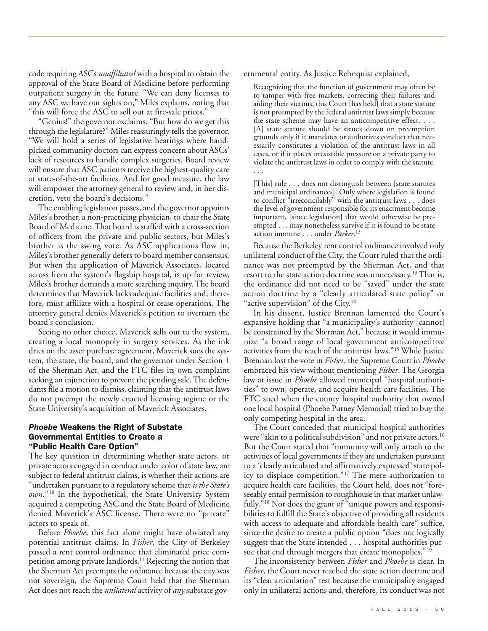code requiring ASCs *unaffiliated* with a hospital to obtain the approval of the State Board of Medicine before performing outpatient surgery in the future. "We can deny licenses to any ASC we have our sights on," Miles explains, noting that "this will force the ASC to sell out at fire-sale prices."

"Genius!" the governor exclaims. "But how do we get this through the legislature?" Miles reassuringly tells the governor, "We will hold a series of legislative hearings where handpicked community doctors can express concern about ASCs' lack of resources to handle complex surgeries. Board review will ensure that ASC patients receive the highest-quality care at state-of-the-art facilities. And for good measure, the law will empower the attorney general to review and, in her discretion, veto the board's decisions."

The enabling legislation passes, and the governor appoints Miles's brother, a non-practicing physician, to chair the State Board of Medicine. That board is staffed with a cross-section of officers from the private and public sectors, but Miles's brother is the swing vote. As ASC applications flow in, Miles's brother generally defers to board member consensus. But when the application of Maverick Associates, located across from the system's flagship hospital, is up for review, Miles's brother demands a more searching inquiry. The board determines that Maverick lacks adequate facilities and, therefore, must affiliate with a hospital or cease operations. The attorney general denies Maverick's petition to overturn the board's conclusion.

Seeing no other choice, Maverick sells out to the system, creating a local monopoly in surgery services. As the ink dries on the asset purchase agreement, Maverick sues the system, the state, the board, and the governor under Section 1 of the Sherman Act, and the FTC files its own complaint seeking an injunction to prevent the pending sale. The defendants file a motion to dismiss, claiming that the antitrust laws do not preempt the newly enacted licensing regime or the State University's acquisition of Maverick Associates.

## *Phoebe* **Weakens the Right of Substate Governmental Entities to Create a "Public Health Care Option"**

The key question in determining whether state actors, or private actors engaged in conduct under color of state law, are subject to federal antitrust claims, is whether their actions are "undertaken pursuant to a regulatory scheme that *is the State's own*."10 In the hypothetical, the State University System acquired a competing ASC and the State Board of Medicine denied Maverick's ASC license. There were no "private" actors to speak of.

Before *Phoebe*, this fact alone might have obviated any potential antitrust claims. In *Fisher*, the City of Berkeley passed a rent control ordinance that eliminated price competition among private landlords.<sup>11</sup> Rejecting the notion that the Sherman Act preempts the ordinance because the city was not sovereign, the Supreme Court held that the Sherman Act does not reach the *unilateral* activity of *any* substate governmental entity. As Justice Rehnquist explained,

Recognizing that the function of government may often be to tamper with free markets, correcting their failures and aiding their victims, this Court [has held] that a state statute is not preempted by the federal antitrust laws simply because the state scheme may have an anticompetitive effect. . . . [A] state statute should be struck down on preemption grounds only if it mandates or authorizes conduct that necessarily constitutes a violation of the antitrust laws in all cases, or if it places irresistible pressure on a private party to violate the antitrust laws in order to comply with the statute. . . .

[This] rule . . . does not distinguish between [state statutes and municipal ordinances]. Only where legislation is found to conflict "irreconcilably" with the antitrust laws . . . does the level of government responsible for its enactment become important, [since legislation] that would otherwise be preempted . . . may nonetheless survive if it is found to be state action immune . . . under *Parker*. 12

Because the Berkeley rent control ordinance involved only unilateral conduct of the City, the Court ruled that the ordinance was not preempted by the Sherman Act, and that resort to the state action doctrine was unnecessary.<sup>13</sup> That is, the ordinance did not need to be "saved" under the state action doctrine by a "clearly articulated state policy" or "active supervision" of the City.<sup>14</sup>

In his dissent, Justice Brennan lamented the Court's expansive holding that "a municipality's authority [cannot] be constrained by the Sherman Act," because it would immunize "a broad range of local government anticompetitive activities from the reach of the antitrust laws."15 While Justice Brennan lost the vote in *Fisher*, the Supreme Court in *Phoebe* embraced his view without mentioning *Fisher*. The Georgia law at issue in *Phoebe* allowed municipal "hospital authorities" to own, operate, and acquire health care facilities. The FTC sued when the county hospital authority that owned one local hospital (Phoebe Putney Memorial) tried to buy the only competing hospital in the area.

The Court conceded that municipal hospital authorities were "akin to a political subdivision" and not private actors.<sup>16</sup> But the Court stated that "immunity will only attach to the activities of local governments if they are undertaken pursuant to a 'clearly articulated and affirmatively expressed' state policy to displace competition."17 The mere authorization to acquire health care facilities, the Court held, does not "foreseeably entail permission to roughhouse in that market unlawfully."<sup>18</sup> Nor does the grant of "unique powers and responsibilities to fulfill the State's objective of providing all residents with access to adequate and affordable health care" suffice, since the desire to create a public option "does not logically suggest that the State intended . . . hospital authorities pursue that end through mergers that create monopolies."<sup>19</sup>

The inconsistency between *Fisher* and *Phoebe* is clear. In *Fisher*, the Court never reached the state action doctrine and its "clear articulation" test because the municipality engaged only in unilateral actions and, therefore, its conduct was not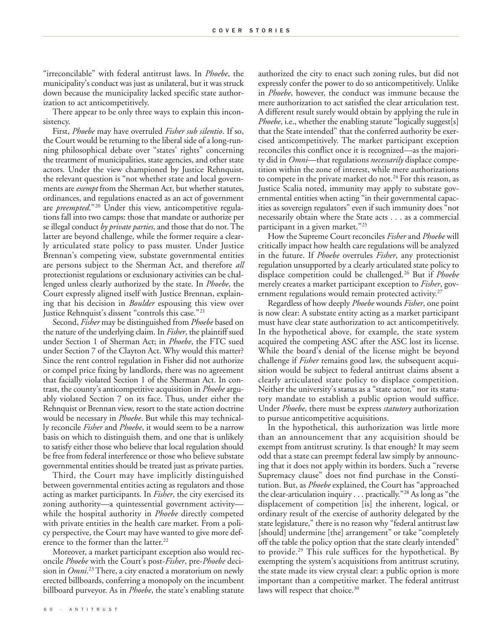"irreconcilable" with federal antitrust laws. In *Phoebe*, the municipality's conduct was just as unilateral, but it was struck down because the municipality lacked specific state authorization to act anticompetitively.

There appear to be only three ways to explain this inconsistency.

First, *Phoebe* may have overruled *Fisher sub silentio*. If so, the Court would be returning to the liberal side of a long-running philosophical debate over "states' rights" concerning the treatment of municipalities, state agencies, and other state actors. Under the view championed by Justice Rehnquist, the relevant question is "not whether state and local governments are *exempt* from the Sherman Act, but whether statutes, ordinances, and regulations enacted as an act of government are *preempted*."20 Under this view, anticompetitive regulations fall into two camps: those that mandate or authorize per se illegal conduct *by private parties*, and those that do not. The latter are beyond challenge, while the former require a clearly articulated state policy to pass muster. Under Justice Brennan's competing view, substate governmental entities are persons subject to the Sherman Act, and therefore *all* protectionist regulations or exclusionary activities can be challenged unless clearly authorized by the state. In *Phoebe*, the Court expressly aligned itself with Justice Brennan, explaining that his decision in *Boulder* espousing this view over Justice Rehnquist's dissent "controls this case."<sup>21</sup>

Second, *Fisher* may be distinguished from *Phoebe* based on the nature of the underlying claim. In *Fisher*, the plaintiff sued under Section 1 of Sherman Act; in *Phoebe*, the FTC sued under Section 7 of the Clayton Act. Why would this matter? Since the rent control regulation in Fisher did not authorize or compel price fixing by landlords, there was no agreement that facially violated Section 1 of the Sherman Act. In contrast, the county's anticompetitive acquisition in *Phoebe* arguably violated Section 7 on its face. Thus, under either the Rehnquist or Brennan view, resort to the state action doctrine would be necessary in *Phoebe*. But while this may technically reconcile *Fisher* and *Phoebe*, it would seem to be a narrow basis on which to distinguish them, and one that is unlikely to satisfy either those who believe that local regulation should be free from federal interference or those who believe substate governmental entities should be treated just as private parties.

Third, the Court may have implicitly distinguished between governmental entities acting as regulators and those acting as market participants. In *Fisher*, the city exercised its zoning authority—a quintessential government activity while the hospital authority in *Phoebe* directly competed with private entities in the health care market. From a policy perspective, the Court may have wanted to give more deference to the former than the latter.<sup>22</sup>

Moreover, a market participant exception also would reconcile *Phoebe* with the Court's post-*Fisher*, pre-*Phoebe* decision in *Omni*. 23There, a city enacted a moratorium on newly erected billboards, conferring a monopoly on the incumbent billboard purveyor. As in *Phoebe*, the state's enabling statute

authorized the city to enact such zoning rules, but did not expressly confer the power to do so anticompetitively. Unlike in *Phoebe*, however, the conduct was immune because the mere authorization to act satisfied the clear articulation test. A different result surely would obtain by applying the rule in *Phoebe*, i.e., whether the enabling statute "logically suggest[s] that the State intended" that the conferred authority be exercised anticompetitively. The market participant exception reconciles this conflict once it is recognized—as the majority did in *Omni*—that regulations *necessarily* displace competition within the zone of interest, while mere authorizations to compete in the private market do not.<sup>24</sup> For this reason, as Justice Scalia noted, immunity may apply to substate governmental entities when acting "in their governmental capacities as sovereign regulators" even if such immunity does "not necessarily obtain where the State acts . . . as a commercial participant in a given market."<sup>25</sup>

How the Supreme Court reconciles *Fisher* and *Phoebe* will critically impact how health care regulations will be analyzed in the future. If *Phoebe* overrules *Fisher*, any protectionist regulation unsupported by a clearly articulated state policy to displace competition could be challenged.26 But if *Phoebe* merely creates a market participant exception to *Fisher*, government regulations would remain protected activity.<sup>27</sup>

Regardless of how deeply *Phoebe* wounds *Fisher*, one point is now clear: A substate entity acting as a market participant must have clear state authorization to act anticompetitively. In the hypothetical above, for example, the state system acquired the competing ASC after the ASC lost its license. While the board's denial of the license might be beyond challenge if *Fisher* remains good law, the subsequent acquisition would be subject to federal antitrust claims absent a clearly articulated state policy to displace competition. Neither the university's status as a "state actor," nor its statutory mandate to establish a public option would suffice. Under *Phoebe*, there must be express *statutory* authorization to pursue anticompetitive acquisitions.

In the hypothetical, this authorization was little more than an announcement that any acquisition should be exempt from antitrust scrutiny. Is that enough? It may seem odd that a state can preempt federal law simply by announcing that it does not apply within its borders. Such a "reverse Supremacy clause" does not find purchase in the Constitution. But, as *Phoebe* explained, the Court has "approached the clear-articulation inquiry . . . practically."28 As long as "the displacement of competition [is] the inherent, logical, or ordinary result of the exercise of authority delegated by the state legislature," there is no reason why "federal antitrust law [should] undermine [the] arrangement" or take "completely off the table the policy option that the state clearly intended" to provide.29 This rule suffices for the hypothetical. By exempting the system's acquisitions from antitrust scrutiny, the state made its view crystal clear: a public option is more important than a competitive market. The federal antitrust laws will respect that choice.<sup>30</sup>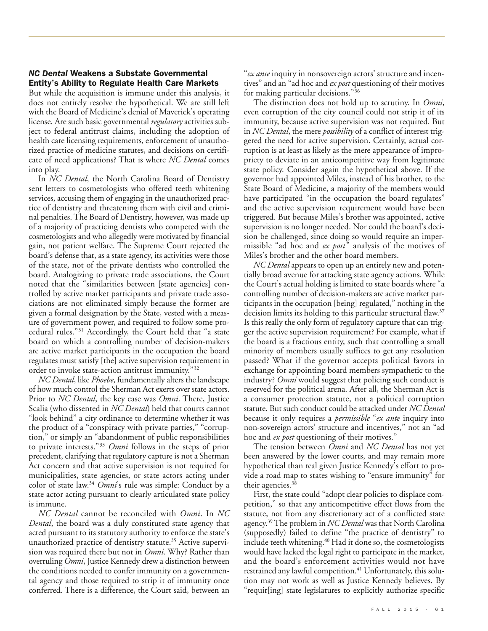## *NC Dental* **Weakens a Substate Governmental Entity's Ability to Regulate Health Care Markets**

But while the acquisition is immune under this analysis, it does not entirely resolve the hypothetical. We are still left with the Board of Medicine's denial of Maverick's operating license. Are such basic governmental *regulatory* activities subject to federal antitrust claims, including the adoption of health care licensing requirements, enforcement of unauthorized practice of medicine statutes, and decisions on certificate of need applications? That is where *NC Dental* comes into play.

In *NC Dental*, the North Carolina Board of Dentistry sent letters to cosmetologists who offered teeth whitening services, accusing them of engaging in the unauthorized practice of dentistry and threatening them with civil and criminal penalties. The Board of Dentistry, however, was made up of a majority of practicing dentists who competed with the cosmetologists and who allegedly were motivated by financial gain, not patient welfare. The Supreme Court rejected the board's defense that, as a state agency, its activities were those of the state, not of the private dentists who controlled the board. Analogizing to private trade associations, the Court noted that the "similarities between [state agencies] controlled by active market participants and private trade associations are not eliminated simply because the former are given a formal designation by the State, vested with a measure of government power, and required to follow some procedural rules."31 Accordingly, the Court held that "a state board on which a controlling number of decision-makers are active market participants in the occupation the board regulates must satisfy [the] active supervision requirement in order to invoke state-action antitrust immunity."32

*NC Dental*, like *Phoebe*, fundamentally alters the landscape of how much control the Sherman Act exerts over state actors. Prior to *NC Dental*, the key case was *Omni*. There, Justice Scalia (who dissented in *NC Dental*) held that courts cannot "look behind" a city ordinance to determine whether it was the product of a "conspiracy with private parties," "corruption," or simply an "abandonment of public responsibilities to private interests."33 *Omni* follows in the steps of prior precedent, clarifying that regulatory capture is not a Sherman Act concern and that active supervision is not required for municipalities, state agencies, or state actors acting under color of state law.34 *Omni*'s rule was simple: Conduct by a state actor acting pursuant to clearly articulated state policy is immune.

*NC Dental* cannot be reconciled with *Omni*. In *NC Dental*, the board was a duly constituted state agency that acted pursuant to its statutory authority to enforce the state's unauthorized practice of dentistry statute.<sup>35</sup> Active supervision was required there but not in *Omni*. Why? Rather than overruling *Omni*, Justice Kennedy drew a distinction between the conditions needed to confer immunity on a governmental agency and those required to strip it of immunity once conferred. There is a difference, the Court said, between an

"*ex ante* inquiry in nonsovereign actors' structure and incentives" and an "ad hoc and *ex post* questioning of their motives for making particular decisions."36

The distinction does not hold up to scrutiny. In *Omni*, even corruption of the city council could not strip it of its immunity, because active supervision was not required. But in *NC Dental*, the mere *possibility* of a conflict of interest triggered the need for active supervision. Certainly, actual corruption is at least as likely as the mere appearance of impropriety to deviate in an anticompetitive way from legitimate state policy. Consider again the hypothetical above. If the governor had appointed Miles, instead of his brother, to the State Board of Medicine, a majority of the members would have participated "in the occupation the board regulates" and the active supervision requirement would have been triggered. But because Miles's brother was appointed, active supervision is no longer needed. Nor could the board's decision be challenged, since doing so would require an impermissible "ad hoc and *ex post*" analysis of the motives of Miles's brother and the other board members.

*NC Dental* appears to open up an entirely new and potentially broad avenue for attacking state agency actions. While the Court's actual holding is limited to state boards where "a controlling number of decision-makers are active market participants in the occupation [being] regulated," nothing in the decision limits its holding to this particular structural flaw.37 Is this really the only form of regulatory capture that can trigger the active supervision requirement? For example, what if the board is a fractious entity, such that controlling a small minority of members usually suffices to get any resolution passed? What if the governor accepts political favors in exchange for appointing board members sympathetic to the industry? *Omni* would suggest that policing such conduct is reserved for the political arena. After all, the Sherman Act is a consumer protection statute, not a political corruption statute. But such conduct could be attacked under *NC Dental* because it only requires a *permissible* "*ex ante* inquiry into non-sovereign actors' structure and incentives," not an "ad hoc and *ex post* questioning of their motives."

The tension between *Omni* and *NC Dental* has not yet been answered by the lower courts, and may remain more hypothetical than real given Justice Kennedy's effort to provide a road map to states wishing to "ensure immunity" for their agencies.<sup>38</sup>

First, the state could "adopt clear policies to displace competition," so that any anticompetitive effect flows from the statute, not from any discretionary act of a conflicted state agency.39The problem in *NC Dental* was that North Carolina (supposedly) failed to define "the practice of dentistry" to include teeth whitening.<sup>40</sup> Had it done so, the cosmetologists would have lacked the legal right to participate in the market, and the board's enforcement activities would not have restrained any lawful competition.<sup>41</sup> Unfortunately, this solution may not work as well as Justice Kennedy believes. By "requir[ing] state legislatures to explicitly authorize specific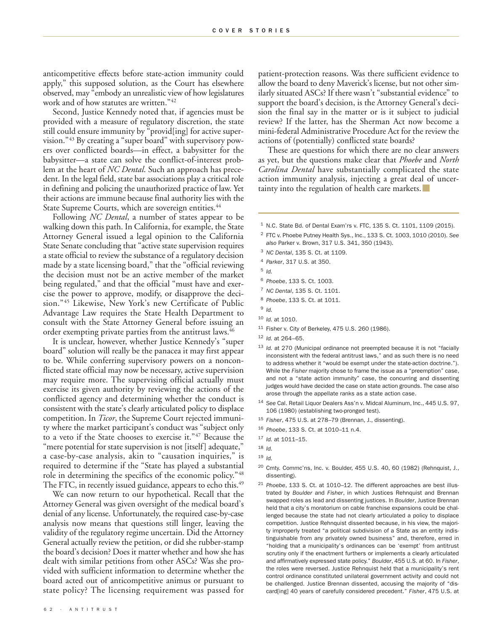anticompetitive effects before state-action immunity could apply," this supposed solution, as the Court has elsewhere observed, may "embody an unrealistic view of how legislatures work and of how statutes are written."<sup>42</sup>

Second, Justice Kennedy noted that, if agencies must be provided with a measure of regulatory discretion, the state still could ensure immunity by "provid[ing] for active supervision."43 By creating a "super board" with supervisory powers over conflicted boards—in effect, a babysitter for the babysitter—a state can solve the conflict-of-interest problem at the heart of *NC Dental*. Such an approach has precedent. In the legal field, state bar associations play a critical role in defining and policing the unauthorized practice of law. Yet their actions are immune because final authority lies with the State Supreme Courts, which are sovereign entities.<sup>44</sup>

Following *NC Dental*, a number of states appear to be walking down this path. In California, for example, the State Attorney General issued a legal opinion to the California State Senate concluding that "active state supervision requires a state official to review the substance of a regulatory decision made by a state licensing board," that the "official reviewing the decision must not be an active member of the market being regulated," and that the official "must have and exercise the power to approve, modify, or disapprove the decision."45 Likewise, New York's new Certificate of Public Advantage Law requires the State Health Department to consult with the State Attorney General before issuing an order exempting private parties from the antitrust laws.<sup>46</sup>

It is unclear, however, whether Justice Kennedy's "super board" solution will really be the panacea it may first appear to be. While conferring supervisory powers on a nonconflicted state official may now be necessary, active supervision may require more. The supervising official actually must exercise its given authority by reviewing the actions of the conflicted agency and determining whether the conduct is consistent with the state's clearly articulated policy to displace competition. In *Ticor*, the Supreme Court rejected immunity where the market participant's conduct was "subject only to a veto if the State chooses to exercise it."47 Because the "mere potential for state supervision is not [itself] adequate," a case-by-case analysis, akin to "causation inquiries," is required to determine if the "State has played a substantial role in determining the specifics of the economic policy."48 The FTC, in recently issued guidance, appears to echo this.<sup>49</sup>

We can now return to our hypothetical. Recall that the Attorney General was given oversight of the medical board's denial of any license. Unfortunately, the required case-by-case analysis now means that questions still linger, leaving the validity of the regulatory regime uncertain. Did the Attorney General actually review the petition, or did she rubber-stamp the board's decision? Does it matter whether and how she has dealt with similar petitions from other ASCs? Was she provided with sufficient information to determine whether the board acted out of anticompetitive animus or pursuant to state policy? The licensing requirement was passed for

patient-protection reasons. Was there sufficient evidence to allow the board to deny Maverick's license, but not other similarly situated ASCs? If there wasn't "substantial evidence" to support the board's decision, is the Attorney General's decision the final say in the matter or is it subject to judicial review? If the latter, has the Sherman Act now become a mini-federal Administrative Procedure Act for the review the actions of (potentially) conflicted state boards?

These are questions for which there are no clear answers as yet, but the questions make clear that *Phoebe* and *North Carolina Dental* have substantially complicated the state action immunity analysis, injecting a great deal of uncertainty into the regulation of health care markets.

- <sup>1</sup> N.C. State Bd. of Dental Exam'rs v. FTC, 135 S. Ct. 1101, 1109 (2015).
- <sup>2</sup> FTC v. Phoebe Putney Health Sys., Inc., 133 S. Ct. 1003, 1010 (2010). *See also* Parker v. Brown, 317 U.S. 341, 350 (1943).
- <sup>3</sup> *NC Dental*, 135 S. Ct. at 1109.
- <sup>4</sup> *Parker*, 317 U.S. at 350.

- <sup>6</sup> *Phoebe*, 133 S. Ct. 1003.
- <sup>7</sup> *NC Dental*, 135 S. Ct. 1101.
- <sup>8</sup> *Phoebe*, 133 S. Ct. at 1011.
- <sup>9</sup> *Id.*
- <sup>10</sup> *Id.* at 1010.
- <sup>11</sup> Fisher v. City of Berkeley, 475 U.S. 260 (1986).

- <sup>13</sup> *Id.* at 270 (Municipal ordinance not preempted because it is not "facially inconsistent with the federal antitrust laws," and as such there is no need to address whether it "would be exempt under the state-action doctrine."). While the *Fisher* majority chose to frame the issue as a "preemption" case, and not a "state action immunity" case, the concurring and dissenting judges would have decided the case on state action grounds. The case also arose through the appellate ranks as a state action case.
- <sup>14</sup> *See* Cal. Retail Liquor Dealers Ass'n v. Midcal Aluminum, Inc., 445 U.S. 97, 106 (1980) (establishing two-pronged test).
- <sup>15</sup> *Fisher*, 475 U.S. at 278–79 (Brennan, J., dissenting).
- <sup>16</sup> *Phoebe*, 133 S. Ct. at 1010–11 n.4.
- <sup>17</sup> *Id.* at 1011–15.

- <sup>19</sup> *Id.*
- <sup>20</sup> Cmty. Commc'ns, Inc. v. Boulder, 455 U.S. 40, 60 (1982) (Rehnquist, J., dissenting).
- <sup>21</sup> *Phoebe*, 133 S. Ct. at 1010–12. The different approaches are best illustrated by *Boulder* and *Fisher*, in which Justices Rehnquist and Brennan swapped roles as lead and dissenting justices. In *Boulder*, Justice Brennan held that a city's moratorium on cable franchise expansions could be challenged because the state had not clearly articulated a policy to displace competition. Justice Rehnquist dissented because, in his view, the majority improperly treated "a political subdivision of a State as an entity indistinguishable from any privately owned business" and, therefore, erred in "holding that a municipality's ordinances can be 'exempt' from antitrust scrutiny only if the enactment furthers or implements a clearly articulated and affirmatively expressed state policy." *Boulder*, 455 U.S. at 60. In *Fisher*, the roles were reversed. Justice Rehnquist held that a municipality's rent control ordinance constituted unilateral government activity and could not be challenged. Justice Brennan dissented, accusing the majority of "discard[ing] 40 years of carefully considered precedent." *Fisher*, 475 U.S. at

<sup>5</sup> *Id.*

<sup>12</sup> *Id.* at 264–65.

<sup>18</sup> *Id.*